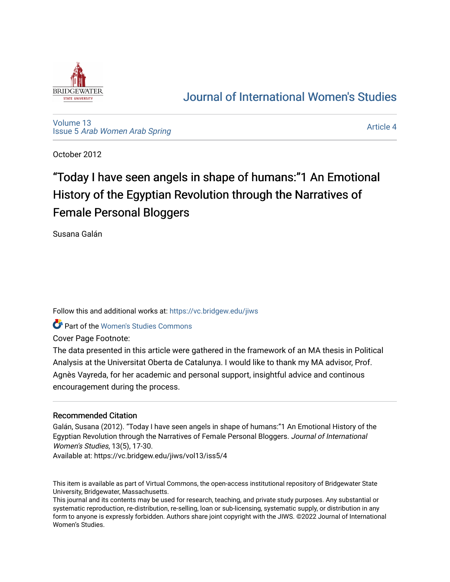

# [Journal of International Women's Studies](https://vc.bridgew.edu/jiws)

[Volume 13](https://vc.bridgew.edu/jiws/vol13) Issue 5 [Arab Women Arab Spring](https://vc.bridgew.edu/jiws/vol13/iss5)

[Article 4](https://vc.bridgew.edu/jiws/vol13/iss5/4) 

October 2012

# "Today I have seen angels in shape of humans:"1 An Emotional History of the Egyptian Revolution through the Narratives of Female Personal Bloggers

Susana Galán

Follow this and additional works at: [https://vc.bridgew.edu/jiws](https://vc.bridgew.edu/jiws?utm_source=vc.bridgew.edu%2Fjiws%2Fvol13%2Fiss5%2F4&utm_medium=PDF&utm_campaign=PDFCoverPages)

**Part of the Women's Studies Commons** 

Cover Page Footnote:

The data presented in this article were gathered in the framework of an MA thesis in Political Analysis at the Universitat Oberta de Catalunya. I would like to thank my MA advisor, Prof. Agnès Vayreda, for her academic and personal support, insightful advice and continous encouragement during the process.

# Recommended Citation

Galán, Susana (2012). "Today I have seen angels in shape of humans:"1 An Emotional History of the Egyptian Revolution through the Narratives of Female Personal Bloggers. Journal of International Women's Studies, 13(5), 17-30.

Available at: https://vc.bridgew.edu/jiws/vol13/iss5/4

This item is available as part of Virtual Commons, the open-access institutional repository of Bridgewater State University, Bridgewater, Massachusetts.

This journal and its contents may be used for research, teaching, and private study purposes. Any substantial or systematic reproduction, re-distribution, re-selling, loan or sub-licensing, systematic supply, or distribution in any form to anyone is expressly forbidden. Authors share joint copyright with the JIWS. ©2022 Journal of International Women's Studies.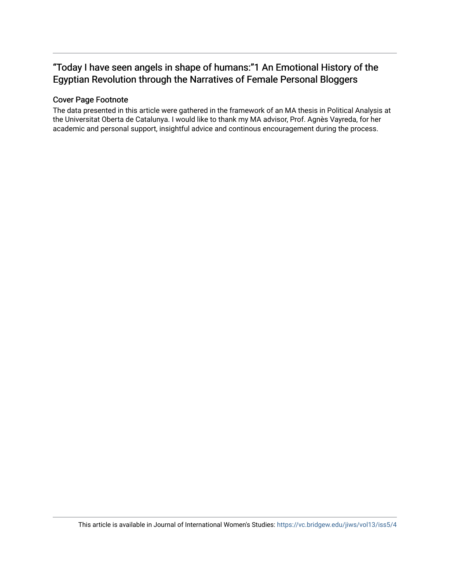# "Today I have seen angels in shape of humans:"1 An Emotional History of the Egyptian Revolution through the Narratives of Female Personal Bloggers

# Cover Page Footnote

The data presented in this article were gathered in the framework of an MA thesis in Political Analysis at the Universitat Oberta de Catalunya. I would like to thank my MA advisor, Prof. Agnès Vayreda, for her academic and personal support, insightful advice and continous encouragement during the process.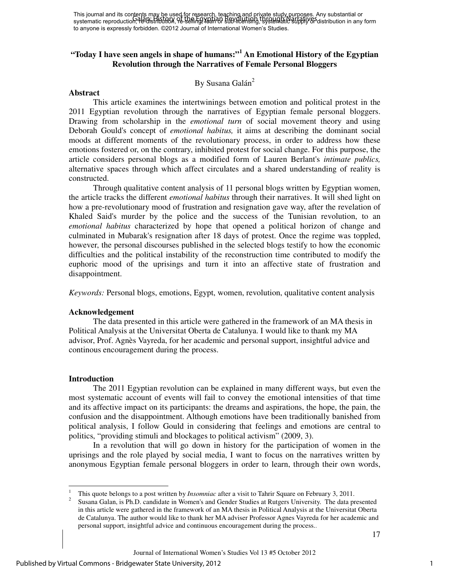This journal and its contents may be used for research, teaching and private study purposes. Any substantial or This journal and its condition. The Egyptian Secret in Secret in September 2013, Narratives Any substantial or<br>systematic reproduction, He-Bistribution, Pe-selling, Voah Di Sub-Intensity, tsystematic supply of distribution to anyone is expressly forbidden. ©2012 Journal of International Women's Studies.

# **"Today I have seen angels in shape of humans:"<sup>1</sup> An Emotional History of the Egyptian Revolution through the Narratives of Female Personal Bloggers**

# By Susana Galán<sup>2</sup>

#### **Abstract**

This article examines the intertwinings between emotion and political protest in the 2011 Egyptian revolution through the narratives of Egyptian female personal bloggers. Drawing from scholarship in the *emotional turn* of social movement theory and using Deborah Gould's concept of *emotional habitus,* it aims at describing the dominant social moods at different moments of the revolutionary process, in order to address how these emotions fostered or, on the contrary, inhibited protest for social change. For this purpose, the article considers personal blogs as a modified form of Lauren Berlant's *intimate publics,*  alternative spaces through which affect circulates and a shared understanding of reality is constructed.

Through qualitative content analysis of 11 personal blogs written by Egyptian women, the article tracks the different *emotional habitus* through their narratives. It will shed light on how a pre-revolutionary mood of frustration and resignation gave way, after the revelation of Khaled Said's murder by the police and the success of the Tunisian revolution, to an *emotional habitus* characterized by hope that opened a political horizon of change and culminated in Mubarak's resignation after 18 days of protest. Once the regime was toppled, however, the personal discourses published in the selected blogs testify to how the economic difficulties and the political instability of the reconstruction time contributed to modify the euphoric mood of the uprisings and turn it into an affective state of frustration and disappointment.

*Keywords:* Personal blogs, emotions, Egypt, women, revolution, qualitative content analysis

#### **Acknowledgement**

The data presented in this article were gathered in the framework of an MA thesis in Political Analysis at the Universitat Oberta de Catalunya. I would like to thank my MA advisor, Prof. Agnès Vayreda, for her academic and personal support, insightful advice and continous encouragement during the process.

#### **Introduction**

-

The 2011 Egyptian revolution can be explained in many different ways, but even the most systematic account of events will fail to convey the emotional intensities of that time and its affective impact on its participants: the dreams and aspirations, the hope, the pain, the confusion and the disappointment. Although emotions have been traditionally banished from political analysis, I follow Gould in considering that feelings and emotions are central to politics, "providing stimuli and blockages to political activism" (2009, 3).

 In a revolution that will go down in history for the participation of women in the uprisings and the role played by social media, I want to focus on the narratives written by anonymous Egyptian female personal bloggers in order to learn, through their own words,

<sup>1</sup> This quote belongs to a post written by *Insomniac* after a visit to Tahrir Square on February 3, 2011.

<sup>2</sup> Susana Galan, is Ph.D. candidate in Women's and Gender Studies at Rutgers University. The data presented in this article were gathered in the framework of an MA thesis in Political Analysis at the Universitat Oberta de Catalunya. The author would like to thank her MA adviser Professor Agnes Vayreda for her academic and personal support, insightful advice and continuous encouragement during the process..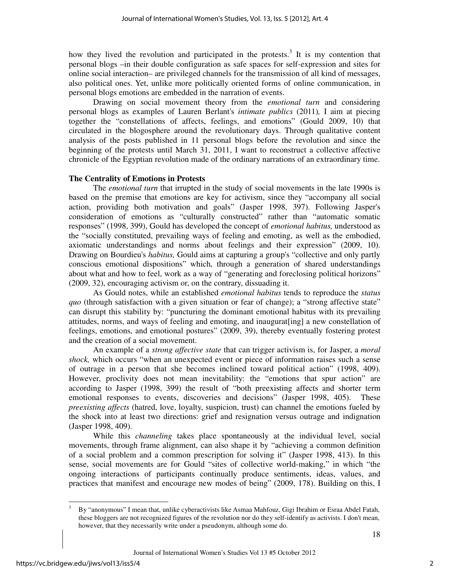how they lived the revolution and participated in the protests.<sup>3</sup> It is my contention that personal blogs –in their double configuration as safe spaces for self-expression and sites for online social interaction– are privileged channels for the transmission of all kind of messages, also political ones. Yet, unlike more politically oriented forms of online communication, in personal blogs emotions are embedded in the narration of events.

 Drawing on social movement theory from the *emotional turn* and considering personal blogs as examples of Lauren Berlant's *intimate publics* (2011)*,* I aim at piecing together the "constellations of affects, feelings, and emotions" (Gould 2009, 10) that circulated in the blogosphere around the revolutionary days. Through qualitative content analysis of the posts published in 11 personal blogs before the revolution and since the beginning of the protests until March 31, 2011, I want to reconstruct a collective affective chronicle of the Egyptian revolution made of the ordinary narrations of an extraordinary time.

# **The Centrality of Emotions in Protests**

The *emotional turn* that irrupted in the study of social movements in the late 1990s is based on the premise that emotions are key for activism, since they "accompany all social action, providing both motivation and goals" (Jasper 1998, 397). Following Jasper's consideration of emotions as "culturally constructed" rather than "automatic somatic responses" (1998, 399), Gould has developed the concept of *emotional habitus,* understood as the "socially constituted, prevailing ways of feeling and emoting, as well as the embodied, axiomatic understandings and norms about feelings and their expression" (2009, 10). Drawing on Bourdieu's *habitus,* Gould aims at capturing a group's "collective and only partly conscious emotional dispositions" which, through a generation of shared understandings about what and how to feel, work as a way of "generating and foreclosing political horizons" (2009, 32), encouraging activism or, on the contrary, dissuading it.

 As Gould notes, while an established *emotional habitus* tends to reproduce the *status quo* (through satisfaction with a given situation or fear of change); a "strong affective state" can disrupt this stability by: "puncturing the dominant emotional habitus with its prevailing attitudes, norms, and ways of feeling and emoting, and inaugurat[ing] a new constellation of feelings, emotions, and emotional postures" (2009, 39), thereby eventually fostering protest and the creation of a social movement.

 An example of a *strong affective state* that can trigger activism is, for Jasper, a *moral shock,* which occurs "when an unexpected event or piece of information raises such a sense of outrage in a person that she becomes inclined toward political action" (1998, 409). However, proclivity does not mean inevitability: the "emotions that spur action" are according to Jasper (1998, 399) the result of "both preexisting affects and shorter term emotional responses to events, discoveries and decisions" (Jasper 1998, 405). These *preexisting affects* (hatred, love, loyalty, suspicion, trust) can channel the emotions fueled by the shock into at least two directions: grief and resignation versus outrage and indignation (Jasper 1998, 409).

 While this *channeling* takes place spontaneously at the individual level, social movements, through frame alignment, can also shape it by "achieving a common definition of a social problem and a common prescription for solving it" (Jasper 1998, 413). In this sense, social movements are for Gould "sites of collective world-making," in which "the ongoing interactions of participants continually produce sentiments, ideas, values, and practices that manifest and encourage new modes of being" (2009, 178). Building on this, I

<sup>-</sup><sup>3</sup> By "anonymous" I mean that, unlike cyberactivists like Asmaa Mahfouz, Gigi Ibrahim or Esraa Abdel Fatah, these bloggers are not recognized figures of the revolution nor do they self-identify as activists. I don't mean, however, that they necessarily write under a pseudonym, although some do.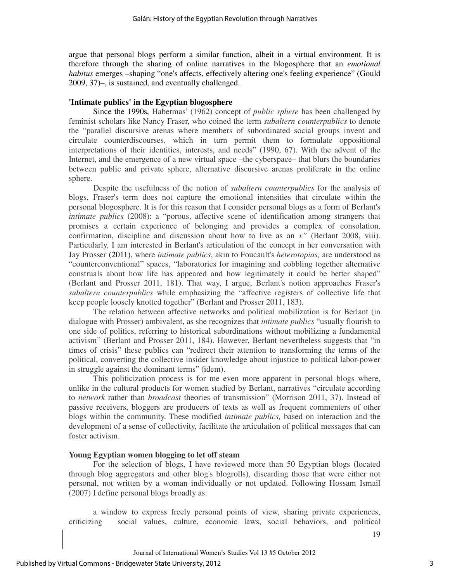argue that personal blogs perform a similar function, albeit in a virtual environment. It is therefore through the sharing of online narratives in the blogosphere that an *emotional habitus* emerges –shaping "one's affects, effectively altering one's feeling experience" (Gould 2009, 37)–, is sustained, and eventually challenged.

#### **'Intimate publics' in the Egyptian blogosphere**

Since the 1990s, Habermas' (1962) concept of *public sphere* has been challenged by feminist scholars like Nancy Fraser, who coined the term *subaltern counterpublics* to denote the "parallel discursive arenas where members of subordinated social groups invent and circulate counterdiscourses, which in turn permit them to formulate oppositional interpretations of their identities, interests, and needs" (1990, 67). With the advent of the Internet, and the emergence of a new virtual space –the cyberspace– that blurs the boundaries between public and private sphere, alternative discursive arenas proliferate in the online sphere.

 Despite the usefulness of the notion of *subaltern counterpublics* for the analysis of blogs, Fraser's term does not capture the emotional intensities that circulate within the personal blogosphere. It is for this reason that I consider personal blogs as a form of Berlant's *intimate publics* (2008): a "porous, affective scene of identification among strangers that promises a certain experience of belonging and provides a complex of consolation, confirmation, discipline and discussion about how to live as an *x"* (Berlant 2008, viii). Particularly, I am interested in Berlant's articulation of the concept in her conversation with Jay Prosser (2011), where *intimate publics*, akin to Foucault's *heterotopias,* are understood as "counterconventional" spaces, "laboratories for imagining and cobbling together alternative construals about how life has appeared and how legitimately it could be better shaped" (Berlant and Prosser 2011, 181). That way, I argue, Berlant's notion approaches Fraser's *subaltern counterpublics* while emphasizing the "affective registers of collective life that keep people loosely knotted together" (Berlant and Prosser 2011, 183).

 The relation between affective networks and political mobilization is for Berlant (in dialogue with Prosser) ambivalent, as she recognizes that *intimate publics* "usually flourish to one side of politics, referring to historical subordinations without mobilizing a fundamental activism" (Berlant and Prosser 2011, 184). However, Berlant nevertheless suggests that "in times of crisis" these publics can "redirect their attention to transforming the terms of the political, converting the collective insider knowledge about injustice to political labor-power in struggle against the dominant terms" (idem).

 This politicization process is for me even more apparent in personal blogs where, unlike in the cultural products for women studied by Berlant, narratives "circulate according to *network* rather than *broadcast* theories of transmission" (Morrison 2011, 37). Instead of passive receivers, bloggers are producers of texts as well as frequent commenters of other blogs within the community. These modified *intimate publics,* based on interaction and the development of a sense of collectivity, facilitate the articulation of political messages that can foster activism.

#### **Young Egyptian women blogging to let off steam**

For the selection of blogs, I have reviewed more than 50 Egyptian blogs (located through blog aggregators and other blog's blogrolls), discarding those that were either not personal, not written by a woman individually or not updated. Following Hossam Ismail (2007) I define personal blogs broadly as:

 a window to express freely personal points of view, sharing private experiences, criticizing social values, culture, economic laws, social behaviors, and political

19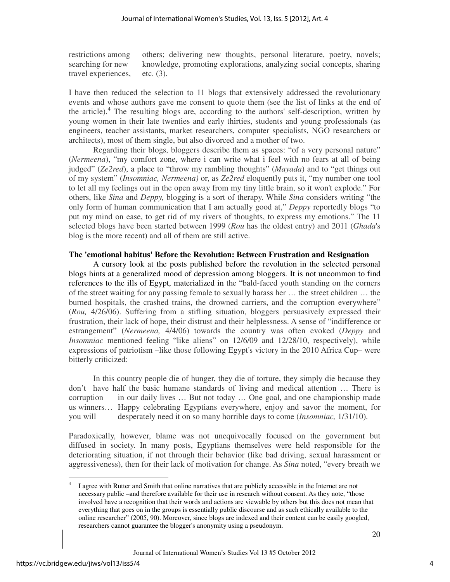restrictions among others; delivering new thoughts, personal literature, poetry, novels; searching for new knowledge, promoting explorations, analyzing social concepts, sharing travel experiences, etc. (3).

I have then reduced the selection to 11 blogs that extensively addressed the revolutionary events and whose authors gave me consent to quote them (see the list of links at the end of the article).<sup>4</sup> The resulting blogs are, according to the authors' self-description, written by young women in their late twenties and early thirties, students and young professionals (as engineers, teacher assistants, market researchers, computer specialists, NGO researchers or architects), most of them single, but also divorced and a mother of two.

 Regarding their blogs, bloggers describe them as spaces: "of a very personal nature" (*Nermeena*), "my comfort zone, where i can write what i feel with no fears at all of being judged" (*Ze2red*), a place to "throw my rambling thoughts" (*Mayada*) and to "get things out of my system" (*Insomniac, Nermeena)* or, as *Ze2red* eloquently puts it, "my number one tool to let all my feelings out in the open away from my tiny little brain, so it won't explode." For others, like *Sina* and *Deppy,* blogging is a sort of therapy. While *Sina* considers writing "the only form of human communication that I am actually good at," *Deppy* reportedly blogs "to put my mind on ease, to get rid of my rivers of thoughts, to express my emotions." The 11 selected blogs have been started between 1999 (*Rou* has the oldest entry) and 2011 (*Ghada*'s blog is the more recent) and all of them are still active.

#### **The 'emotional habitus' Before the Revolution: Between Frustration and Resignation**

A cursory look at the posts published before the revolution in the selected personal blogs hints at a generalized mood of depression among bloggers. It is not uncommon to find references to the ills of Egypt, materialized in the "bald-faced youth standing on the corners of the street waiting for any passing female to sexually harass her … the street children … the burned hospitals, the crashed trains, the drowned carriers, and the corruption everywhere" (*Rou,* 4/26/06). Suffering from a stifling situation, bloggers persuasively expressed their frustration, their lack of hope, their distrust and their helplessness. A sense of "indifference or estrangement" (*Nermeena,* 4/4/06) towards the country was often evoked (*Deppy* and *Insomniac* mentioned feeling "like aliens" on 12/6/09 and 12/28/10, respectively), while expressions of patriotism –like those following Egypt's victory in the 2010 Africa Cup– were bitterly criticized:

In this country people die of hunger, they die of torture, they simply die because they don't have half the basic humane standards of living and medical attention … There is corruption in our daily lives … But not today … One goal, and one championship made us winners… Happy celebrating Egyptians everywhere, enjoy and savor the moment, for you will desperately need it on so many horrible days to come (*Insomniac,* 1/31/10).

Paradoxically, however, blame was not unequivocally focused on the government but diffused in society. In many posts, Egyptians themselves were held responsible for the deteriorating situation, if not through their behavior (like bad driving, sexual harassment or aggressiveness), then for their lack of motivation for change. As *Sina* noted, "every breath we

-

<sup>4</sup> I agree with Rutter and Smith that online narratives that are publicly accessible in the Internet are not necessary public –and therefore available for their use in research without consent. As they note, "those involved have a recognition that their words and actions are viewable by others but this does not mean that everything that goes on in the groups is essentially public discourse and as such ethically available to the online researcher" (2005, 90). Moreover, since blogs are indexed and their content can be easily googled, researchers cannot guarantee the blogger's anonymity using a pseudonym.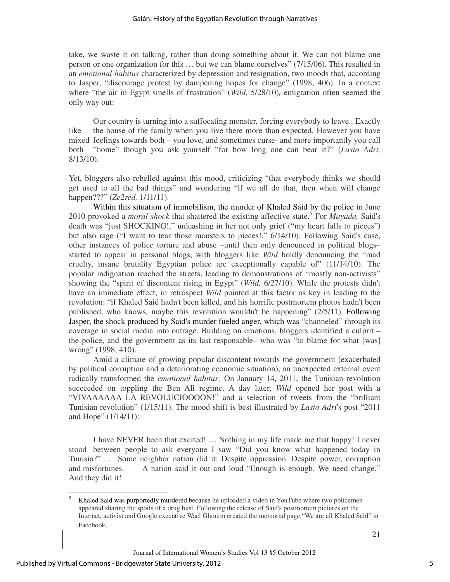take, we waste it on talking, rather than doing something about it. We can not blame one person or one organization for this … but we can blame ourselves" (7/15/06). This resulted in an *emotional habitus* characterized by depression and resignation, two moods that, according to Jasper, "discourage protest by dampening hopes for change" (1998, 406). In a context where "the air in Egypt smells of frustration" (*Wild,* 5/28/10)*,* emigration often seemed the only way out:

Our country is turning into a suffocating monster, forcing everybody to leave.. Exactly like the house of the family when you live there more than expected. However you have mixed feelings towards both – you love, and sometimes curse- and more importantly you call both "home" though you ask yourself "for how long one can bear it?" (*Lasto Adri,*  8/13/10).

Yet, bloggers also rebelled against this mood, criticizing "that everybody thinks we should get used to all the bad things" and wondering "if we all do that, then when will change happen???" (*Ze2red,* 1/11/11).

 Within this situation of immobilism, the murder of Khaled Said by the police in June 2010 provoked a *moral shock* that shattered the existing affective state.<sup>5</sup> For *Mayada,* Said's death was "just SHOCKING!," unleashing in her not only grief ("my heart falls to pieces") but also rage ("I want to tear those monsters to pieces!," 6/14/10). Following Said's case, other instances of police torture and abuse –until then only denounced in political blogs– started to appear in personal blogs, with bloggers like *Wild* boldly denouncing the "mad cruelty, insane brutality Egyptian police are exceptionally capable of" (11/14/10). The popular indignation reached the streets, leading to demonstrations of "mostly non-activists" showing the "spirit of discontent rising in Egypt" (*Wild,* 6/27/10). While the protests didn't have an immediate effect, in retrospect *Wild* pointed at this factor as key in leading to the revolution: "if Khaled Said hadn't been killed, and his horrific postmortem photos hadn't been published, who knows, maybe this revolution wouldn't be happening" (2/5/11). Following Jasper, the shock produced by Said's murder fueled anger, which was "channeled" through its coverage in social media into outrage. Building on emotions, bloggers identified a culprit – the police, and the government as its last responsable– who was "to blame for what [was] wrong" (1998, 410).

 Amid a climate of growing popular discontent towards the government (exacerbated by political corruption and a deteriorating economic situation), an unexpected external event radically transformed the *emotional habitus:* On January 14, 2011, the Tunisian revolution succeeded on toppling the Ben Ali regime. A day later, *Wild* opened her post with a "VIVAAAAAA LA REVOLUCIOOOON!" and a selection of tweets from the "brilliant Tunisian revolution" (1/15/11). The mood shift is best illustrated by *Lasto Adri*'s post "2011 and Hope" (1/14/11):

I have NEVER been that excited! … Nothing in my life made me that happy! I never stood between people to ask everyone I saw "Did you know what happened today in Tunisia?" … Some neighbor nation did it: Despite oppression. Despite power, corruption and misfortunes. A nation said it out and loud "Enough is enough. We need change." And they did it!

<sup>-&</sup>lt;br>5 Khaled Said was purportedly murdered because he uploaded a video in YouTube where two policemen appeared sharing the spoils of a drug bust. Following the release of Said's postmortem pictures on the Internet, activist and Google executive Wael Ghonim created the memorial page "We are all Khaled Said" in Facebook.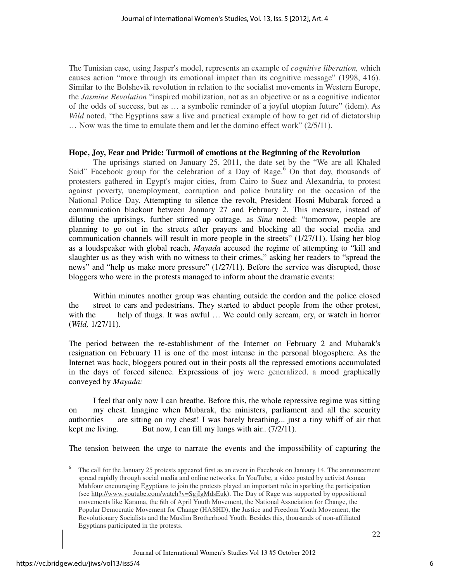The Tunisian case, using Jasper's model, represents an example of *cognitive liberation,* which causes action "more through its emotional impact than its cognitive message" (1998, 416). Similar to the Bolshevik revolution in relation to the socialist movements in Western Europe, the *Jasmine Revolution* "inspired mobilization, not as an objective or as a cognitive indicator of the odds of success, but as … a symbolic reminder of a joyful utopian future" (idem). As *Wild* noted, "the Egyptians saw a live and practical example of how to get rid of dictatorship … Now was the time to emulate them and let the domino effect work" (2/5/11).

# **Hope, Joy, Fear and Pride: Turmoil of emotions at the Beginning of the Revolution**

The uprisings started on January 25, 2011, the date set by the "We are all Khaled Said" Facebook group for the celebration of a Day of Rage.<sup>6</sup> On that day, thousands of protesters gathered in Egypt's major cities, from Cairo to Suez and Alexandria, to protest against poverty, unemployment, corruption and police brutality on the occasion of the National Police Day. Attempting to silence the revolt, President Hosni Mubarak forced a communication blackout between January 27 and February 2. This measure, instead of diluting the uprisings, further stirred up outrage, as *Sina* noted: "tomorrow, people are planning to go out in the streets after prayers and blocking all the social media and communication channels will result in more people in the streets" (1/27/11). Using her blog as a loudspeaker with global reach, *Mayada* accused the regime of attempting to "kill and slaughter us as they wish with no witness to their crimes," asking her readers to "spread the news" and "help us make more pressure" (1/27/11). Before the service was disrupted, those bloggers who were in the protests managed to inform about the dramatic events:

Within minutes another group was chanting outside the cordon and the police closed the street to cars and pedestrians. They started to abduct people from the other protest, with the help of thugs. It was awful ... We could only scream, cry, or watch in horror (*Wild,* 1/27/11).

The period between the re-establishment of the Internet on February 2 and Mubarak's resignation on February 11 is one of the most intense in the personal blogosphere. As the Internet was back, bloggers poured out in their posts all the repressed emotions accumulated in the days of forced silence. Expressions of joy were generalized, a mood graphically conveyed by *Mayada:* 

I feel that only now I can breathe. Before this, the whole repressive regime was sitting on my chest. Imagine when Mubarak, the ministers, parliament and all the security authorities are sitting on my chest! I was barely breathing... just a tiny whiff of air that kept me living. But now, I can fill my lungs with air..  $(7/2/11)$ .

The tension between the urge to narrate the events and the impossibility of capturing the

The call for the January 25 protests appeared first as an event in Facebook on January 14. The announcement spread rapidly through social media and online networks. In YouTube, a video posted by activist Asmaa Mahfouz encouraging Egyptians to join the protests played an important role in sparking the participation (see http://www.youtube.com/watch?v=SgjIgMdsEuk). The Day of Rage was supported by oppositional movements like Karama, the 6th of April Youth Movement, the National Association for Change, the Popular Democratic Movement for Change (HASHD), the Justice and Freedom Youth Movement, the Revolutionary Socialists and the Muslim Brotherhood Youth. Besides this, thousands of non-affiliated Egyptians participated in the protests.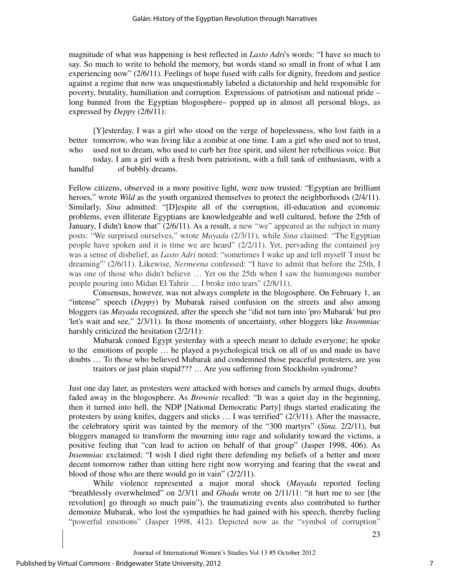magnitude of what was happening is best reflected in *Lasto Adri*'s words: "I have so much to say. So much to write to behold the memory, but words stand so small in front of what I am experiencing now" (2/6/11). Feelings of hope fused with calls for dignity, freedom and justice against a regime that now was unquestionably labeled a dictatorship and held responsible for poverty, brutality, humiliation and corruption. Expressions of patriotism and national pride – long banned from the Egyptian blogosphere– popped up in almost all personal blogs, as expressed by *Deppy* (2/6/11):

[Y]esterday, I was a girl who stood on the verge of hopelessness, who lost faith in a better tomorrow, who was living like a zombie at one time. I am a girl who used not to trust, who used not to dream, who used to curb her free spirit, and silent her rebellious voice. But

 today, I am a girl with a fresh born patriotism, with a full tank of enthusiasm, with a handful of bubbly dreams.

Fellow citizens, observed in a more positive light, were now trusted: "Egyptian are brilliant heroes," wrote *Wild* as the youth organized themselves to protect the neighborhoods (2/4/11). Similarly, *Sina* admitted: "[D]espite all of the corruption, ill-education and economic problems, even illiterate Egyptians are knowledgeable and well cultured, before the 25th of January, I didn't know that" (2/6/11). As a result, a new "we" appeared as the subject in many posts: "We surprised ourselves," wrote *Mayada* (2/3/11), while *Sina* claimed: "The Egyptian people have spoken and it is time we are heard" (2/2/11). Yet, pervading the contained joy was a sense of disbelief, as *Lasto Adri* noted: "sometimes I wake up and tell myself 'I must be dreaming'" (2/6/11). Likewise, *Nermeena* confessed: "I have to admit that before the 25th, I was one of those who didn't believe … Yet on the 25th when I saw the humongous number people pouring into Midan El Tahrir … I broke into tears" (2/8/11).

 Consensus, however, was not always complete in the blogosphere. On February 1, an "intense" speech (*Deppy*) by Mubarak raised confusion on the streets and also among bloggers (as *Mayada* recognized, after the speech she "did not turn into 'pro Mubarak' but pro 'let's wait and see," 2/3/11). In those moments of uncertainty, other bloggers like *Insomniac* harshly criticized the hesitation  $(2/2/11)$ :

 Mubarak conned Egypt yesterday with a speech meant to delude everyone; he spoke to the emotions of people … he played a psychological trick on all of us and made us have doubts … To those who believed Mubarak and condemned those peaceful protesters, are you traitors or just plain stupid??? … Are you suffering from Stockholm syndrome?

Just one day later, as protesters were attacked with horses and camels by armed thugs, doubts faded away in the blogosphere. As *Brownie* recalled: "It was a quiet day in the beginning, then it turned into hell, the NDP [National Democratic Party] thugs started eradicating the protesters by using knifes, daggers and sticks … I was terrified" (2/3/11). After the massacre, the celebratory spirit was tainted by the memory of the "300 martyrs" (*Sina,* 2/2/11), but bloggers managed to transform the mourning into rage and solidarity toward the victims, a positive feeling that "can lead to action on behalf of that group" (Jasper 1998, 406). As *Insomniac* exclaimed: "I wish I died right there defending my beliefs of a better and more decent tomorrow rather than sitting here right now worrying and fearing that the sweat and blood of those who are there would go in vain" (2/2/11).

 While violence represented a major moral shock (*Mayada* reported feeling "breathlessly overwhelmed" on 2/3/11 and *Ghada* wrote on 2/11/11: "it hurt me to see [the revolution] go through so much pain"), the traumatizing events also contributed to further demonize Mubarak, who lost the sympathies he had gained with his speech, thereby fueling "powerful emotions" (Jasper 1998, 412). Depicted now as the "symbol of corruption"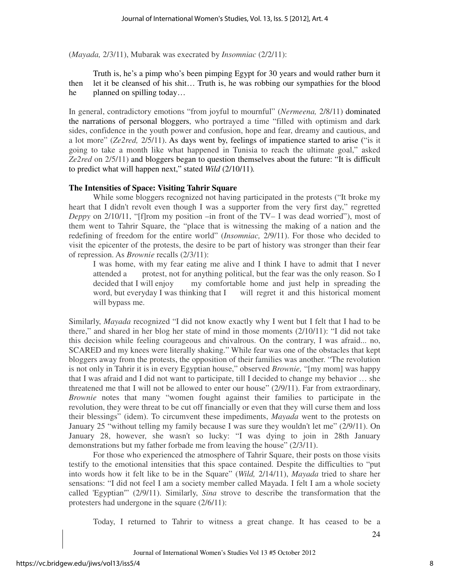(*Mayada,* 2/3/11), Mubarak was execrated by *Insomniac* (2/2/11):

Truth is, he's a pimp who's been pimping Egypt for 30 years and would rather burn it then let it be cleansed of his shit… Truth is, he was robbing our sympathies for the blood he planned on spilling today...

In general, contradictory emotions "from joyful to mournful" (*Nermeena,* 2/8/11) dominated the narrations of personal bloggers, who portrayed a time "filled with optimism and dark sides, confidence in the youth power and confusion, hope and fear, dreamy and cautious, and a lot more" (*Ze2red,* 2/5/11). As days went by, feelings of impatience started to arise ("is it going to take a month like what happened in Tunisia to reach the ultimate goal," asked *Ze2red* on 2/5/11) and bloggers began to question themselves about the future: "It is difficult to predict what will happen next," stated *Wild* (2/10/11)*.* 

# **The Intensities of Space: Visiting Tahrir Square**

While some bloggers recognized not having participated in the protests ("It broke my heart that I didn't revolt even though I was a supporter from the very first day," regretted *Deppy* on 2/10/11, "[f]rom my position –in front of the TV– I was dead worried"), most of them went to Tahrir Square, the "place that is witnessing the making of a nation and the redefining of freedom for the entire world" (*Insomniac,* 2/9/11). For those who decided to visit the epicenter of the protests, the desire to be part of history was stronger than their fear of repression. As *Brownie* recalls (2/3/11):

I was home, with my fear eating me alive and I think I have to admit that I never attended a protest, not for anything political, but the fear was the only reason. So I decided that I will enjoy my comfortable home and just help in spreading the word, but everyday I was thinking that I will regret it and this historical moment will bypass me.

Similarly, *Mayada* recognized "I did not know exactly why I went but I felt that I had to be there," and shared in her blog her state of mind in those moments (2/10/11): "I did not take this decision while feeling courageous and chivalrous. On the contrary, I was afraid... no, SCARED and my knees were literally shaking." While fear was one of the obstacles that kept bloggers away from the protests, the opposition of their families was another. "The revolution is not only in Tahrir it is in every Egyptian house," observed *Brownie,* "[my mom] was happy that I was afraid and I did not want to participate, till I decided to change my behavior … she threatened me that I will not be allowed to enter our house" (2/9/11). Far from extraordinary, *Brownie* notes that many "women fought against their families to participate in the revolution, they were threat to be cut off financially or even that they will curse them and loss their blessings" (idem). To circumvent these impediments, *Mayada* went to the protests on January 25 "without telling my family because I was sure they wouldn't let me" (2/9/11). On January 28, however, she wasn't so lucky: "I was dying to join in 28th January demonstrations but my father forbade me from leaving the house" (2/3/11).

 For those who experienced the atmosphere of Tahrir Square, their posts on those visits testify to the emotional intensities that this space contained. Despite the difficulties to "put into words how it felt like to be in the Square" (*Wild,* 2/14/11), *Mayada* tried to share her sensations: "I did not feel I am a society member called Mayada. I felt I am a whole society called 'Egyptian'" (2/9/11). Similarly, *Sina* strove to describe the transformation that the protesters had undergone in the square (2/6/11):

Today, I returned to Tahrir to witness a great change. It has ceased to be a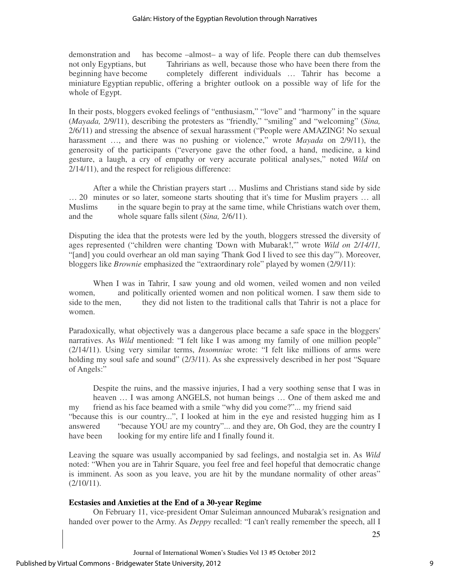#### Galán: History of the Egyptian Revolution through Narratives

demonstration and has become –almost– a way of life. People there can dub themselves not only Egyptians, but Tahririans as well, because those who have been there from the beginning have become completely different individuals … Tahrir has become a miniature Egyptian republic, offering a brighter outlook on a possible way of life for the whole of Egypt.

In their posts, bloggers evoked feelings of "enthusiasm," "love" and "harmony" in the square (*Mayada,* 2/9/11), describing the protesters as "friendly," "smiling" and "welcoming" (*Sina,* 2/6/11) and stressing the absence of sexual harassment ("People were AMAZING! No sexual harassment …, and there was no pushing or violence," wrote *Mayada* on 2/9/11), the generosity of the participants ("everyone gave the other food, a hand, medicine, a kind gesture, a laugh, a cry of empathy or very accurate political analyses," noted *Wild* on 2/14/11), and the respect for religious difference:

After a while the Christian prayers start … Muslims and Christians stand side by side … 20 minutes or so later, someone starts shouting that it's time for Muslim prayers … all Muslims in the square begin to pray at the same time, while Christians watch over them, and the whole square falls silent (*Sina,* 2/6/11).

Disputing the idea that the protests were led by the youth, bloggers stressed the diversity of ages represented ("children were chanting 'Down with Mubarak!,'" wrote *Wild on 2/14/11,*  "[and] you could overhear an old man saying 'Thank God I lived to see this day'"). Moreover, bloggers like *Brownie* emphasized the "extraordinary role" played by women (2/9/11):

When I was in Tahrir, I saw young and old women, veiled women and non veiled women, and politically oriented women and non political women. I saw them side to side to the men, they did not listen to the traditional calls that Tahrir is not a place for women.

Paradoxically, what objectively was a dangerous place became a safe space in the bloggers' narratives. As *Wild* mentioned: "I felt like I was among my family of one million people" (2/14/11). Using very similar terms, *Insomniac* wrote: "I felt like millions of arms were holding my soul safe and sound" (2/3/11). As she expressively described in her post "Square" of Angels:"

Despite the ruins, and the massive injuries, I had a very soothing sense that I was in heaven … I was among ANGELS, not human beings … One of them asked me and my friend as his face beamed with a smile "why did you come?"... my friend said "because this is our country...", I looked at him in the eye and resisted hugging him as I answered "because YOU are my country"... and they are, Oh God, they are the country I have been looking for my entire life and I finally found it.

Leaving the square was usually accompanied by sad feelings, and nostalgia set in. As *Wild* noted: "When you are in Tahrir Square, you feel free and feel hopeful that democratic change is imminent. As soon as you leave, you are hit by the mundane normality of other areas"  $(2/10/11)$ .

#### **Ecstasies and Anxieties at the End of a 30-year Regime**

On February 11, vice-president Omar Suleiman announced Mubarak's resignation and handed over power to the Army. As *Deppy* recalled: "I can't really remember the speech, all I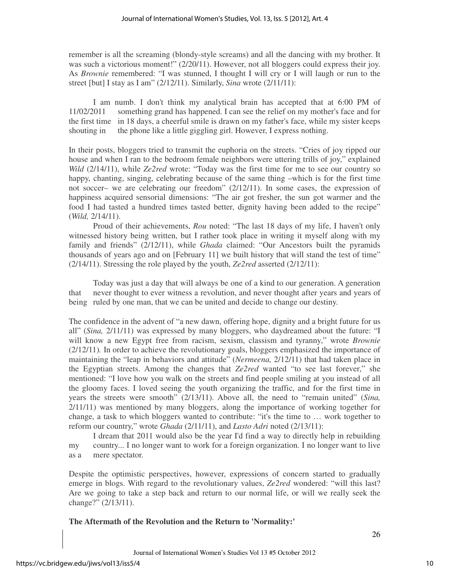remember is all the screaming (blondy-style screams) and all the dancing with my brother. It was such a victorious moment!" (2/20/11). However, not all bloggers could express their joy. As *Brownie* remembered: "I was stunned, I thought I will cry or I will laugh or run to the street [but] I stay as I am" (2/12/11). Similarly, *Sina* wrote (2/11/11):

I am numb. I don't think my analytical brain has accepted that at 6:00 PM of 11/02/2011 something grand has happened. I can see the relief on my mother's face and for the first time in 18 days, a cheerful smile is drawn on my father's face, while my sister keeps shouting in the phone like a little giggling girl. However, I express nothing.

In their posts, bloggers tried to transmit the euphoria on the streets. "Cries of joy ripped our house and when I ran to the bedroom female neighbors were uttering trills of joy," explained *Wild* (2/14/11), while *Ze2red* wrote: "Today was the first time for me to see our country so happy, chanting, singing, celebrating because of the same thing –which is for the first time not soccer– we are celebrating our freedom" (2/12/11). In some cases, the expression of happiness acquired sensorial dimensions: "The air got fresher, the sun got warmer and the food I had tasted a hundred times tasted better, dignity having been added to the recipe" (*Wild,* 2/14/11).

 Proud of their achievements, *Rou* noted: "The last 18 days of my life, I haven't only witnessed history being written, but I rather took place in writing it myself along with my family and friends" (2/12/11), while *Ghada* claimed: "Our Ancestors built the pyramids thousands of years ago and on [February 11] we built history that will stand the test of time" (2/14/11). Stressing the role played by the youth, *Ze2red* asserted (2/12/11):

Today was just a day that will always be one of a kind to our generation. A generation that never thought to ever witness a revolution, and never thought after years and years of being ruled by one man, that we can be united and decide to change our destiny.

The confidence in the advent of "a new dawn, offering hope, dignity and a bright future for us all" (*Sina,* 2/11/11) was expressed by many bloggers, who daydreamed about the future: "I will know a new Egypt free from racism, sexism, classism and tyranny," wrote *Brownie* (2/12/11)*.* In order to achieve the revolutionary goals, bloggers emphasized the importance of maintaining the "leap in behaviors and attitude" (*Nermeena,* 2/12/11) that had taken place in the Egyptian streets. Among the changes that *Ze2red* wanted "to see last forever," she mentioned: "I love how you walk on the streets and find people smiling at you instead of all the gloomy faces. I loved seeing the youth organizing the traffic, and for the first time in years the streets were smooth" (2/13/11). Above all, the need to "remain united" (*Sina,*  2/11/11) was mentioned by many bloggers, along the importance of working together for change, a task to which bloggers wanted to contribute: "it's the time to … work together to reform our country," wrote *Ghada* (2/11/11), and *Lasto Adri* noted (2/13/11):

 I dream that 2011 would also be the year I'd find a way to directly help in rebuilding my country... I no longer want to work for a foreign organization. I no longer want to live as a mere spectator.

Despite the optimistic perspectives, however, expressions of concern started to gradually emerge in blogs. With regard to the revolutionary values, *Ze2red* wondered: "will this last? Are we going to take a step back and return to our normal life, or will we really seek the change?" (2/13/11).

**The Aftermath of the Revolution and the Return to 'Normality:'**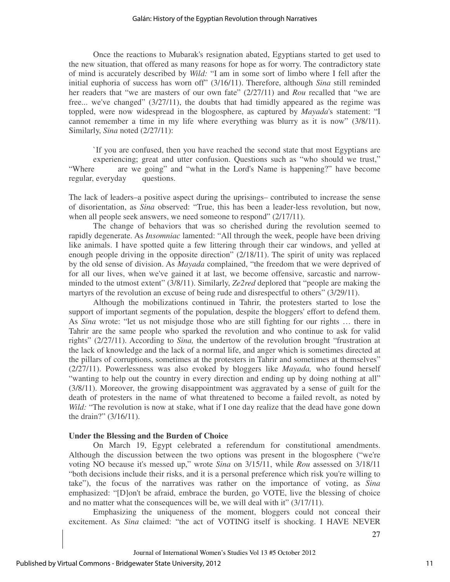Once the reactions to Mubarak's resignation abated, Egyptians started to get used to the new situation, that offered as many reasons for hope as for worry. The contradictory state of mind is accurately described by *Wild:* "I am in some sort of limbo where I fell after the initial euphoria of success has worn off" (3/16/11). Therefore, although *Sina* still reminded her readers that "we are masters of our own fate" (2/27/11) and *Rou* recalled that "we are free... we've changed" (3/27/11), the doubts that had timidly appeared as the regime was toppled, were now widespread in the blogosphere, as captured by *Mayada*'s statement: "I cannot remember a time in my life where everything was blurry as it is now" (3/8/11). Similarly, *Sina* noted (2/27/11):

`If you are confused, then you have reached the second state that most Egyptians are experiencing; great and utter confusion. Questions such as "who should we trust," "Where are we going" and "what in the Lord's Name is happening?" have become regular, everyday questions.

The lack of leaders–a positive aspect during the uprisings– contributed to increase the sense of disorientation, as *Sina* observed: "True, this has been a leader-less revolution, but now, when all people seek answers, we need someone to respond" (2/17/11).

 The change of behaviors that was so cherished during the revolution seemed to rapidly degenerate. As *Insomniac* lamented: "All through the week, people have been driving like animals. I have spotted quite a few littering through their car windows, and yelled at enough people driving in the opposite direction" (2/18/11). The spirit of unity was replaced by the old sense of division. As *Mayada* complained, "the freedom that we were deprived of for all our lives, when we've gained it at last, we become offensive, sarcastic and narrowminded to the utmost extent" (3/8/11). Similarly, *Ze2red* deplored that "people are making the martyrs of the revolution an excuse of being rude and disrespectful to others" (3/29/11).

 Although the mobilizations continued in Tahrir, the protesters started to lose the support of important segments of the population, despite the bloggers' effort to defend them. As *Sina* wrote: "let us not misjudge those who are still fighting for our rights … there in Tahrir are the same people who sparked the revolution and who continue to ask for valid rights" (2/27/11). According to *Sina,* the undertow of the revolution brought "frustration at the lack of knowledge and the lack of a normal life, and anger which is sometimes directed at the pillars of corruptions, sometimes at the protesters in Tahrir and sometimes at themselves" (2/27/11). Powerlessness was also evoked by bloggers like *Mayada,* who found herself "wanting to help out the country in every direction and ending up by doing nothing at all" (3/8/11). Moreover, the growing disappointment was aggravated by a sense of guilt for the death of protesters in the name of what threatened to become a failed revolt, as noted by *Wild:* "The revolution is now at stake, what if I one day realize that the dead have gone down the drain?" (3/16/11).

# **Under the Blessing and the Burden of Choice**

On March 19, Egypt celebrated a referendum for constitutional amendments. Although the discussion between the two options was present in the blogosphere ("we're voting NO because it's messed up," wrote *Sina* on 3/15/11, while *Rou* assessed on 3/18/11 "both decisions include their risks, and it is a personal preference which risk you're willing to take"), the focus of the narratives was rather on the importance of voting, as *Sina* emphasized: "[D]on't be afraid, embrace the burden, go VOTE, live the blessing of choice and no matter what the consequences will be, we will deal with it" (3/17/11).

 Emphasizing the uniqueness of the moment, bloggers could not conceal their excitement. As *Sina* claimed: "the act of VOTING itself is shocking. I HAVE NEVER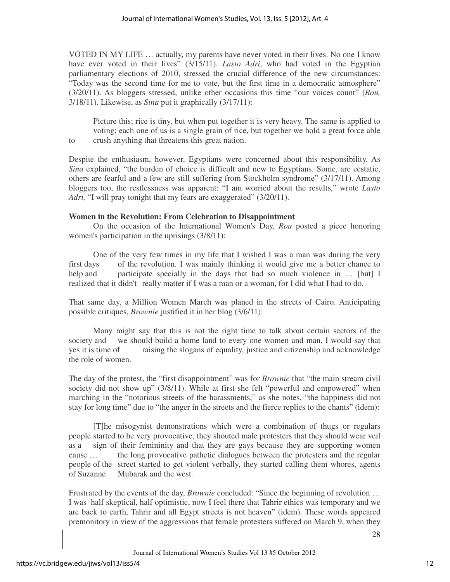VOTED IN MY LIFE … actually, my parents have never voted in their lives. No one I know have ever voted in their lives" (3/15/11). *Lasto Adri*, who had voted in the Egyptian parliamentary elections of 2010, stressed the crucial difference of the new circumstances: "Today was the second time for me to vote, but the first time in a democratic atmosphere" (3/20/11). As bloggers stressed, unlike other occasions this time "our voices count" (*Rou,*  3/18/11). Likewise, as *Sina* put it graphically (3/17/11):

Picture this; rice is tiny, but when put together it is very heavy. The same is applied to voting; each one of us is a single grain of rice, but together we hold a great force able to crush anything that threatens this great nation.

Despite the enthusiasm, however, Egyptians were concerned about this responsibility. As *Sina* explained, "the burden of choice is difficult and new to Egyptians. Some, are ecstatic, others are fearful and a few are still suffering from Stockholm syndrome" (3/17/11). Among bloggers too, the restlessness was apparent: "I am worried about the results," wrote *Lasto Adri,* "I will pray tonight that my fears are exaggerated" (3/20/11).

# **Women in the Revolution: From Celebration to Disappointment**

On the occasion of the International Women's Day, *Rou* posted a piece honoring women's participation in the uprisings (3/8/11):

One of the very few times in my life that I wished I was a man was during the very first days of the revolution. I was mainly thinking it would give me a better chance to help and participate specially in the days that had so much violence in … [but] I realized that it didn't really matter if I was a man or a woman, for I did what I had to do.

That same day, a Million Women March was planed in the streets of Cairo. Anticipating possible critiques, *Brownie* justified it in her blog (3/6/11):

Many might say that this is not the right time to talk about certain sectors of the society and we should build a home land to every one women and man, I would say that yes it is time of raising the slogans of equality, justice and citizenship and acknowledge the role of women.

The day of the protest, the "first disappointment" was for *Brownie* that "the main stream civil society did not show up" (3/8/11). While at first she felt "powerful and empowered" when marching in the "notorious streets of the harassments," as she notes, "the happiness did not stay for long time" due to "the anger in the streets and the fierce replies to the chants" (idem):

[T]he misogynist demonstrations which were a combination of thugs or regulars people started to be very provocative, they shouted male protesters that they should wear veil as a sign of their femininity and that they are gays because they are supporting women cause … the long provocative pathetic dialogues between the protesters and the regular people of the street started to get violent verbally, they started calling them whores, agents of Suzanne Mubarak and the west.

Frustrated by the events of the day, *Brownie* concluded: "Since the beginning of revolution … I was half skeptical, half optimistic, now I feel there that Tahrir ethics was temporary and we are back to earth, Tahrir and all Egypt streets is not heaven" (idem). These words appeared premonitory in view of the aggressions that female protesters suffered on March 9, when they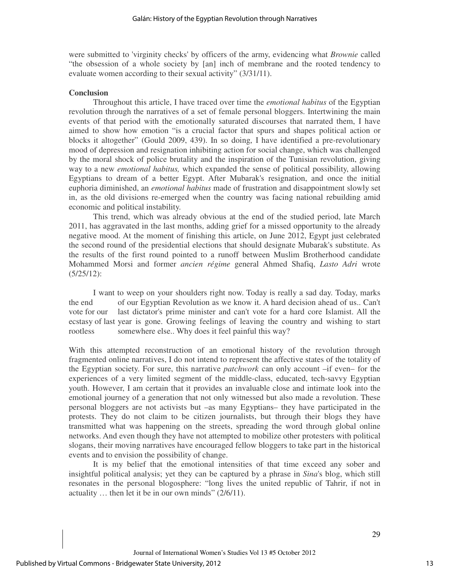were submitted to 'virginity checks' by officers of the army, evidencing what *Brownie* called "the obsession of a whole society by [an] inch of membrane and the rooted tendency to evaluate women according to their sexual activity" (3/31/11).

#### **Conclusion**

Throughout this article, I have traced over time the *emotional habitus* of the Egyptian revolution through the narratives of a set of female personal bloggers. Intertwining the main events of that period with the emotionally saturated discourses that narrated them, I have aimed to show how emotion "is a crucial factor that spurs and shapes political action or blocks it altogether" (Gould 2009, 439). In so doing, I have identified a pre-revolutionary mood of depression and resignation inhibiting action for social change, which was challenged by the moral shock of police brutality and the inspiration of the Tunisian revolution, giving way to a new *emotional habitus,* which expanded the sense of political possibility, allowing Egyptians to dream of a better Egypt. After Mubarak's resignation, and once the initial euphoria diminished, an *emotional habitus* made of frustration and disappointment slowly set in, as the old divisions re-emerged when the country was facing national rebuilding amid economic and political instability.

 This trend, which was already obvious at the end of the studied period, late March 2011, has aggravated in the last months, adding grief for a missed opportunity to the already negative mood. At the moment of finishing this article, on June 2012, Egypt just celebrated the second round of the presidential elections that should designate Mubarak's substitute. As the results of the first round pointed to a runoff between Muslim Brotherhood candidate Mohammed Morsi and former *ancien régime* general Ahmed Shafiq, *Lasto Adri* wrote (5/25/12):

I want to weep on your shoulders right now. Today is really a sad day. Today, marks the end of our Egyptian Revolution as we know it. A hard decision ahead of us.. Can't vote for our last dictator's prime minister and can't vote for a hard core Islamist. All the ecstasy of last year is gone. Growing feelings of leaving the country and wishing to start rootless somewhere else.. Why does it feel painful this way?

With this attempted reconstruction of an emotional history of the revolution through fragmented online narratives, I do not intend to represent the affective states of the totality of the Egyptian society. For sure, this narrative *patchwork* can only account –if even– for the experiences of a very limited segment of the middle-class, educated, tech-savvy Egyptian youth. However, I am certain that it provides an invaluable close and intimate look into the emotional journey of a generation that not only witnessed but also made a revolution. These personal bloggers are not activists but –as many Egyptians– they have participated in the protests. They do not claim to be citizen journalists, but through their blogs they have transmitted what was happening on the streets, spreading the word through global online networks. And even though they have not attempted to mobilize other protesters with political slogans, their moving narratives have encouraged fellow bloggers to take part in the historical events and to envision the possibility of change.

 It is my belief that the emotional intensities of that time exceed any sober and insightful political analysis; yet they can be captured by a phrase in *Sina*'s blog, which still resonates in the personal blogosphere: "long lives the united republic of Tahrir, if not in actuality … then let it be in our own minds" (2/6/11).